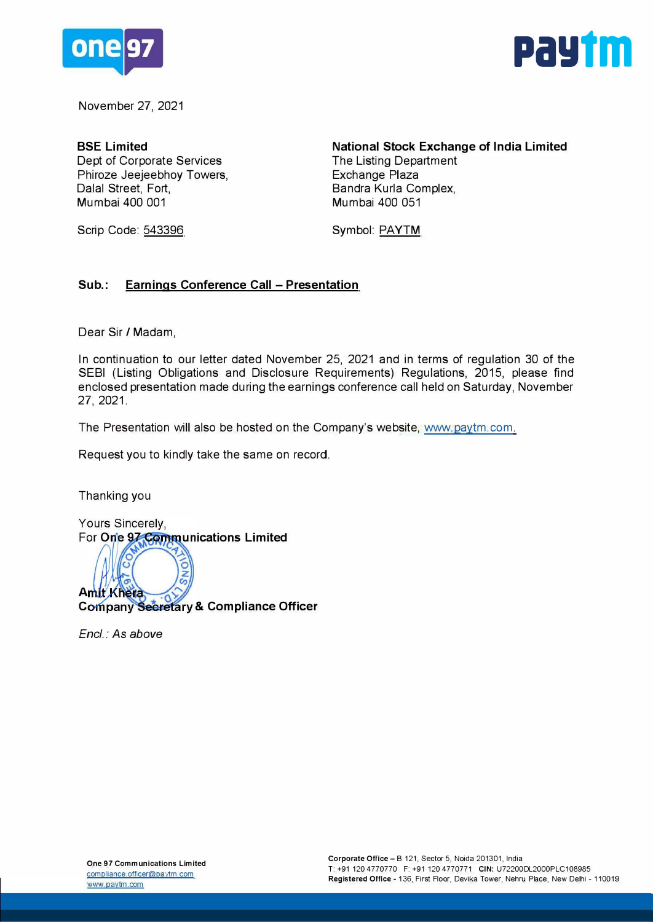



November 27, 2021

**BSE Limited**  Dept of Corporate Services Phiroze Jeejeebhoy Towers, Dalal Street, Fort, Mumbai 400 001

Scrip Code: 543396

**National Stock Exchange of India Limited**  The Listing Department Exchange Plaza Bandra Kurla Complex, Mumbai 400 051

Symbol: PAYTM

#### **Sub.: Earnings Conference Call - Presentation**

Dear Sir/ Madam,

In continuation to our letter dated November 25, 2021 and in terms of regulation 30 of the SEBI (Listing Obligations and Disclosure Requirements) Regulations, 2015, please find enclosed presentation made during the earnings conference call held on Saturday, November 27, 2021.

The Presentation will also be hosted on the Company's website, www.paytm.com.

Request you to kindly take the same on record.

Thanking you

Yours Sincerely, For One 97 Communications Limited

SNO **Amit Khera Company Secretary & Compliance Officer** 

*Encl.: As above*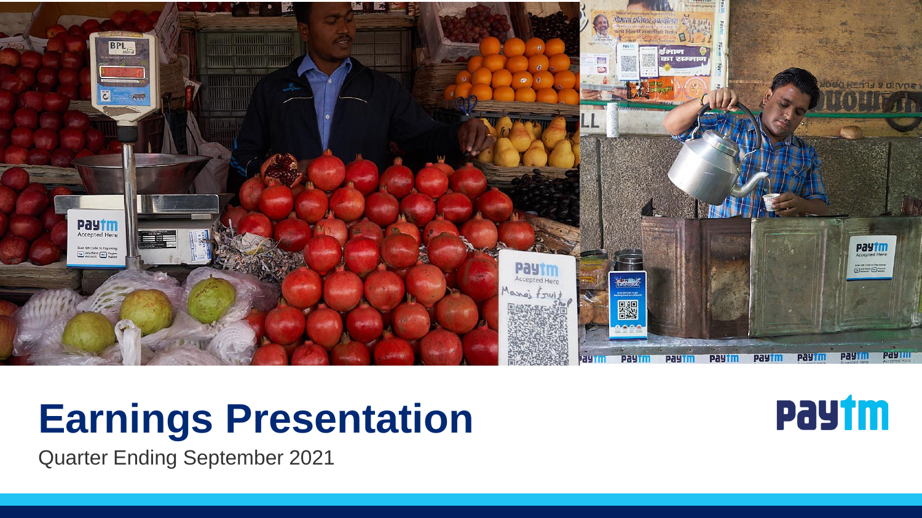

## **Earnings Presentation**



**Quarter Ending September 2021**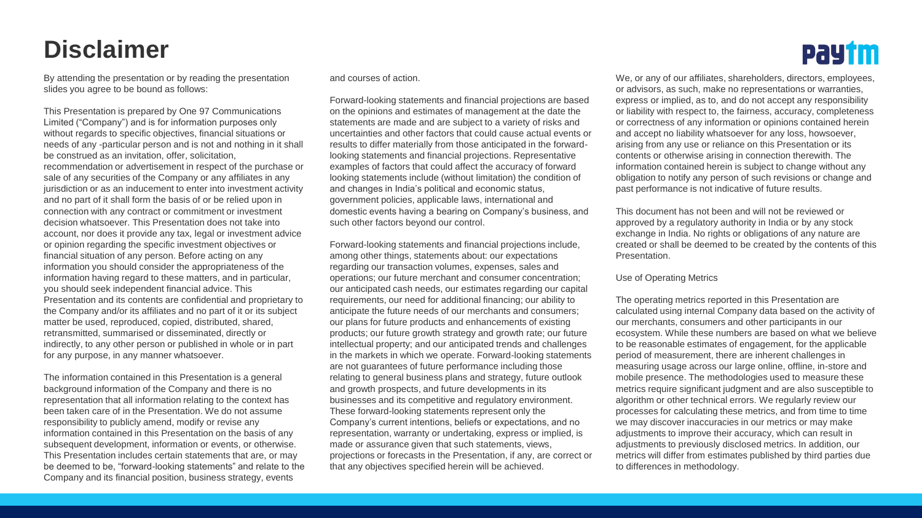#### **Disclaimer**

By attending the presentation or by reading the presentation slides you agree to be bound as follows:

This Presentation is prepared by One 97 Communications Limited ("Company") and is for information purposes only without regards to specific objectives, financial situations or needs of any -particular person and is not and nothing in it shall be construed as an invitation, offer, solicitation, recommendation or advertisement in respect of the purchase or sale of any securities of the Company or any affiliates in any jurisdiction or as an inducement to enter into investment activity and no part of it shall form the basis of or be relied upon in connection with any contract or commitment or investment decision whatsoever. This Presentation does not take into account, nor does it provide any tax, legal or investment advice or opinion regarding the specific investment objectives or financial situation of any person. Before acting on any information you should consider the appropriateness of the information having regard to these matters, and in particular, you should seek independent financial advice. This Presentation and its contents are confidential and proprietary to the Company and/or its affiliates and no part of it or its subject matter be used, reproduced, copied, distributed, shared, retransmitted, summarised or disseminated, directly or indirectly, to any other person or published in whole or in part for any purpose, in any manner whatsoever.

The information contained in this Presentation is a general background information of the Company and there is no representation that all information relating to the context has been taken care of in the Presentation. We do not assume responsibility to publicly amend, modify or revise any information contained in this Presentation on the basis of any subsequent development, information or events, or otherwise. This Presentation includes certain statements that are, or may be deemed to be, "forward-looking statements" and relate to the Company and its financial position, business strategy, events

and courses of action.

Forward-looking statements and financial projections are based on the opinions and estimates of management at the date the statements are made and are subject to a variety of risks and uncertainties and other factors that could cause actual events or results to differ materially from those anticipated in the forwardlooking statements and financial projections. Representative examples of factors that could affect the accuracy of forward looking statements include (without limitation) the condition of and changes in India's political and economic status, government policies, applicable laws, international and domestic events having a bearing on Company's business, and such other factors beyond our control.

Forward-looking statements and financial projections include, among other things, statements about: our expectations regarding our transaction volumes, expenses, sales and operations; our future merchant and consumer concentration; our anticipated cash needs, our estimates regarding our capital requirements, our need for additional financing; our ability to anticipate the future needs of our merchants and consumers; our plans for future products and enhancements of existing products; our future growth strategy and growth rate; our future intellectual property; and our anticipated trends and challenges in the markets in which we operate. Forward-looking statements are not guarantees of future performance including those relating to general business plans and strategy, future outlook and growth prospects, and future developments in its businesses and its competitive and regulatory environment. These forward-looking statements represent only the Company's current intentions, beliefs or expectations, and no representation, warranty or undertaking, express or implied, is made or assurance given that such statements, views, projections or forecasts in the Presentation, if any, are correct or that any objectives specified herein will be achieved.



We, or any of our affiliates, shareholders, directors, employees, or advisors, as such, make no representations or warranties, express or implied, as to, and do not accept any responsibility or liability with respect to, the fairness, accuracy, completeness or correctness of any information or opinions contained herein and accept no liability whatsoever for any loss, howsoever, arising from any use or reliance on this Presentation or its contents or otherwise arising in connection therewith. The information contained herein is subject to change without any obligation to notify any person of such revisions or change and past performance is not indicative of future results.

This document has not been and will not be reviewed or approved by a regulatory authority in India or by any stock exchange in India. No rights or obligations of any nature are created or shall be deemed to be created by the contents of this Presentation.

#### Use of Operating Metrics

The operating metrics reported in this Presentation are calculated using internal Company data based on the activity of our merchants, consumers and other participants in our ecosystem. While these numbers are based on what we believe to be reasonable estimates of engagement, for the applicable period of measurement, there are inherent challenges in measuring usage across our large online, offline, in-store and mobile presence. The methodologies used to measure these metrics require significant judgment and are also susceptible to algorithm or other technical errors. We regularly review our processes for calculating these metrics, and from time to time we may discover inaccuracies in our metrics or may make adjustments to improve their accuracy, which can result in adjustments to previously disclosed metrics. In addition, our metrics will differ from estimates published by third parties due to differences in methodology.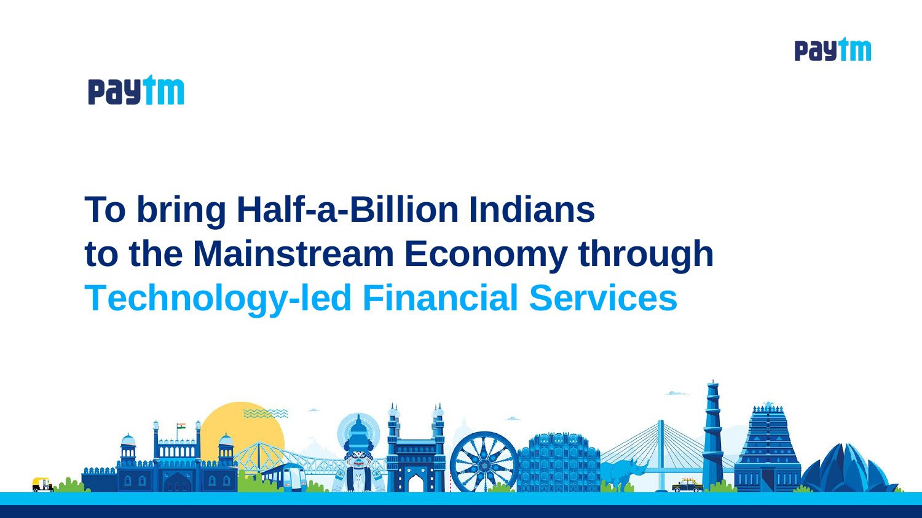



## **To bring Half-a-Billion Indians to the Mainstream Economy through Technology-led Financial Services**

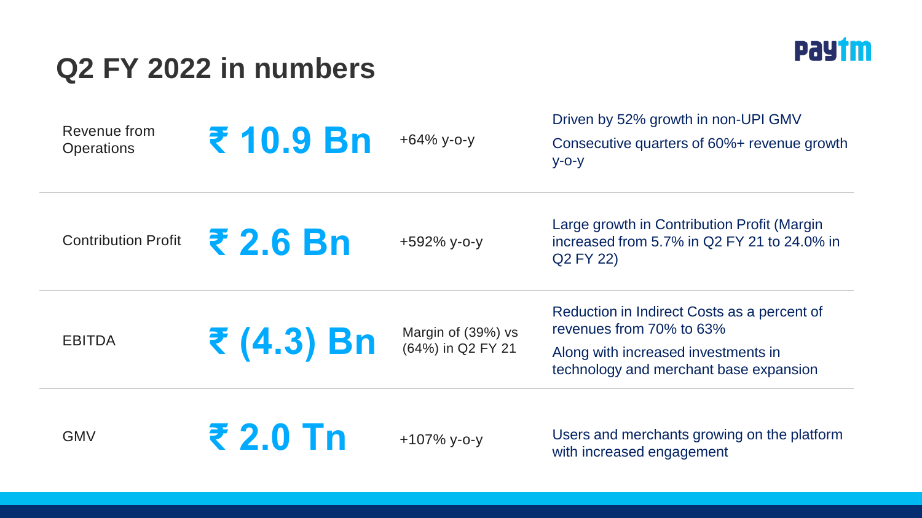### **Q2 FY 2022 in numbers**



| Revenue from<br><b>Operations</b> | ₹ 10.9 Bn  | $+64\%$ y-o-y                           | Driven by 52% growth in non-UPI GMV<br>Consecutive quarters of 60%+ revenue growth<br>$y$ -O- $y$                                                        |
|-----------------------------------|------------|-----------------------------------------|----------------------------------------------------------------------------------------------------------------------------------------------------------|
| <b>Contribution Profit</b>        | ₹ 2.6 Bn   | +592% y-o-y                             | Large growth in Contribution Profit (Margin<br>increased from 5.7% in Q2 FY 21 to 24.0% in<br>Q2 FY 22)                                                  |
| <b>EBITDA</b>                     | ₹ (4.3) Bn | Margin of (39%) vs<br>(64%) in Q2 FY 21 | Reduction in Indirect Costs as a percent of<br>revenues from 70% to 63%<br>Along with increased investments in<br>technology and merchant base expansion |
| <b>GMV</b>                        | ₹ 2.0 Tn   | $+107\%$ y-o-y                          | Users and merchants growing on the platform<br>with increased engagement                                                                                 |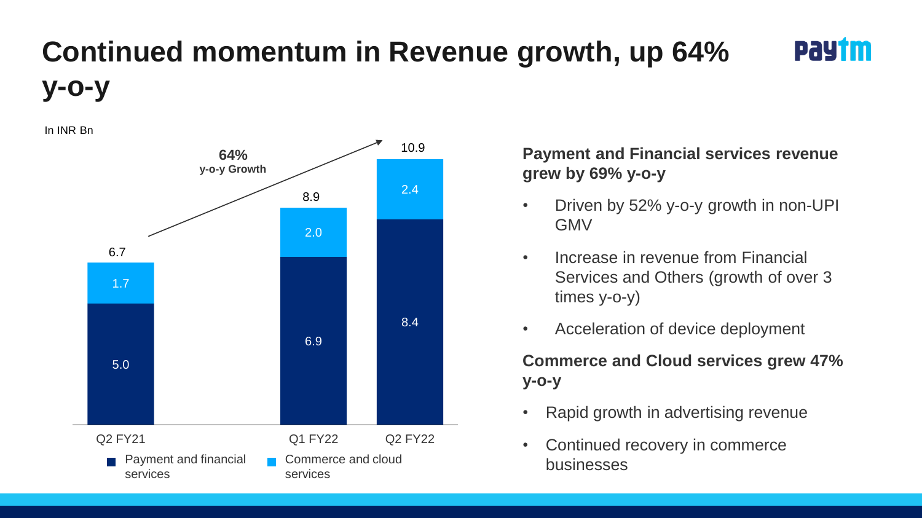## **Continued momentum in Revenue growth, up 64% y-o-y**

In INR Bn



#### **Payment and Financial services revenue grew by 69% y-o-y**

PaYtm

- Driven by 52% y-o-y growth in non-UPI GMV
- Increase in revenue from Financial Services and Others (growth of over 3 times y-o-y)
- Acceleration of device deployment

**Commerce and Cloud services grew 47% y-o-y**

- Rapid growth in advertising revenue
- Continued recovery in commerce businesses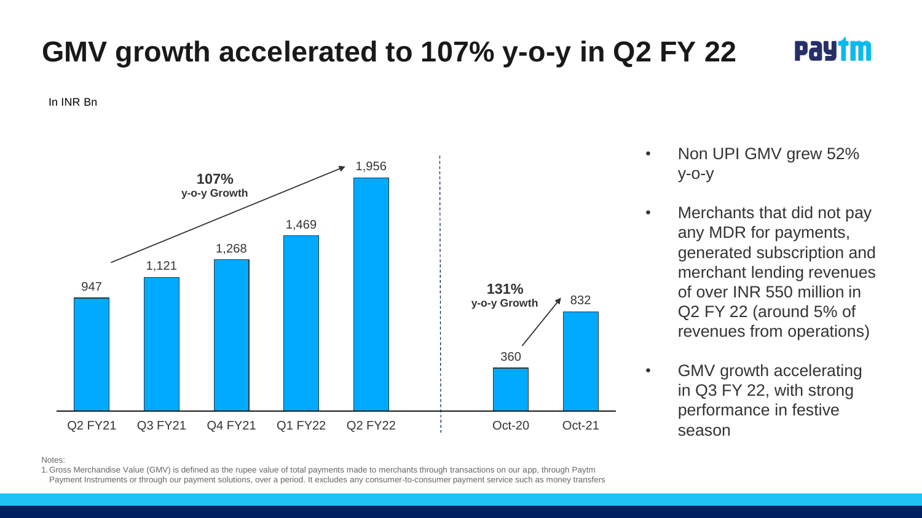#### **GMV growth accelerated to 107% y-o-y in Q2 FY 22** PaYtm

In INR Bn



- Non UPI GMV grew 52% y-o-y
- Merchants that did not pay any MDR for payments, generated subscription and merchant lending revenues of over INR 550 million in Q2 FY 22 (around 5% of revenues from operations)
- GMV growth accelerating in Q3 FY 22, with strong performance in festive season

Notes:

1.Gross Merchandise Value (GMV) is defined as the rupee value of total payments made to merchants through transactions on our app, through Paytm Payment Instruments or through our payment solutions, over a period. It excludes any consumer-to-consumer payment service such as money transfers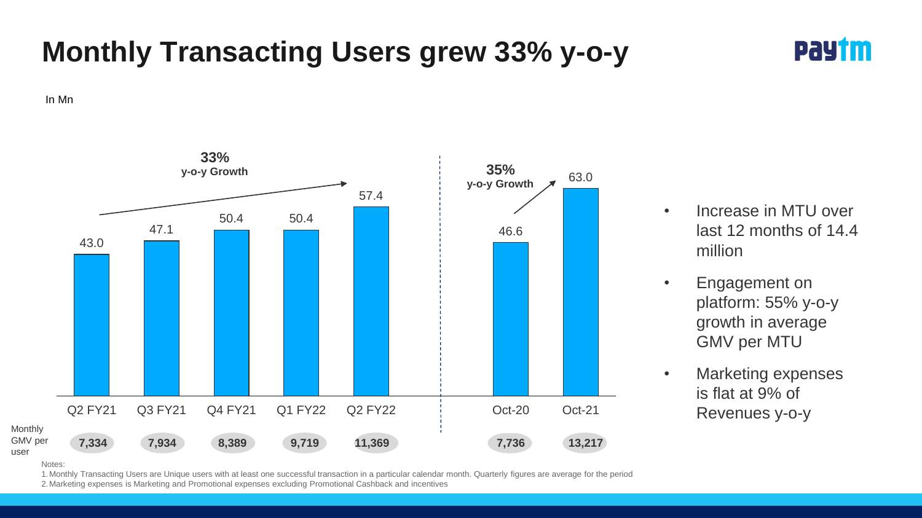### **Monthly Transacting Users grew 33% y-o-y**



In Mn



- Increase in MTU over last 12 months of 14.4 million
- Engagement on platform: 55% y-o-y growth in average GMV per MTU
- Marketing expenses is flat at 9% of Revenues y-o-y

**Notes:** 

user

1.Monthly Transacting Users are Unique users with at least one successful transaction in a particular calendar month. Quarterly figures are average for the period 2.Marketing expenses is Marketing and Promotional expenses excluding Promotional Cashback and incentives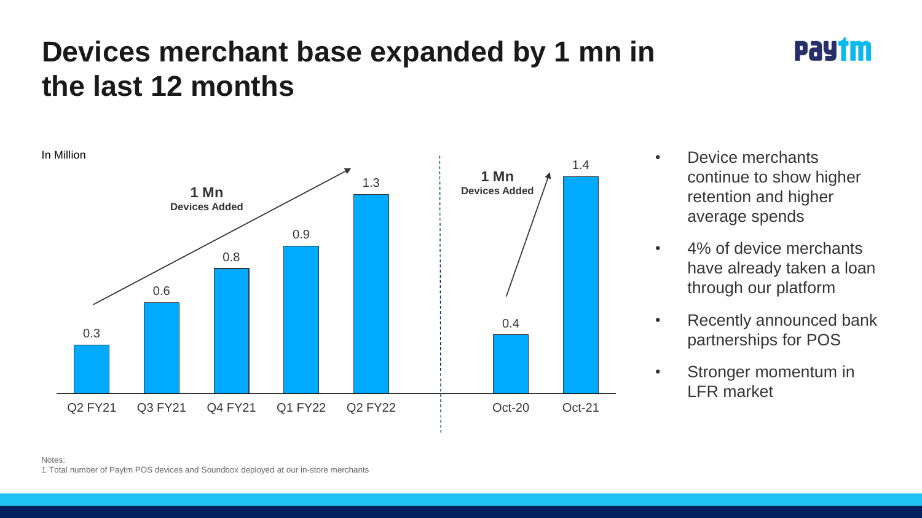### **Devices merchant base expanded by 1 mn in the last 12 months**



• Device merchants continue to show higher retention and higher average spends

PaYtm

- 4% of device merchants have already taken a loan through our platform
- Recently announced bank partnerships for POS
- Stronger momentum in LFR market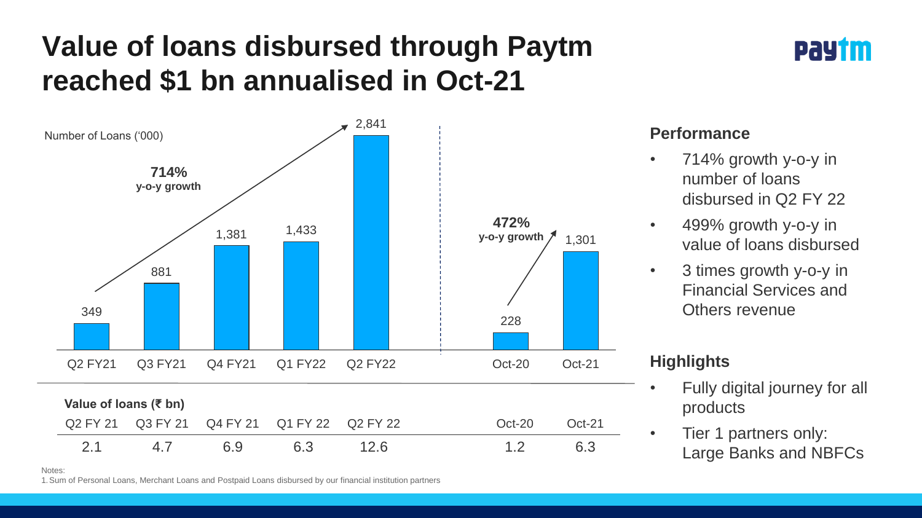### **Value of loans disbursed through Paytm reached \$1 bn annualised in Oct-21**



#### **Performance**

• 714% growth y-o-y in number of loans disbursed in Q2 FY 22

PaYtm

- 499% growth y-o-y in value of loans disbursed
- 3 times growth y-o-y in Financial Services and Others revenue

#### **Highlights**

- Fully digital journey for all products
- Tier 1 partners only: Large Banks and NBFCs

Notes:

1.Sum of Personal Loans, Merchant Loans and Postpaid Loans disbursed by our financial institution partners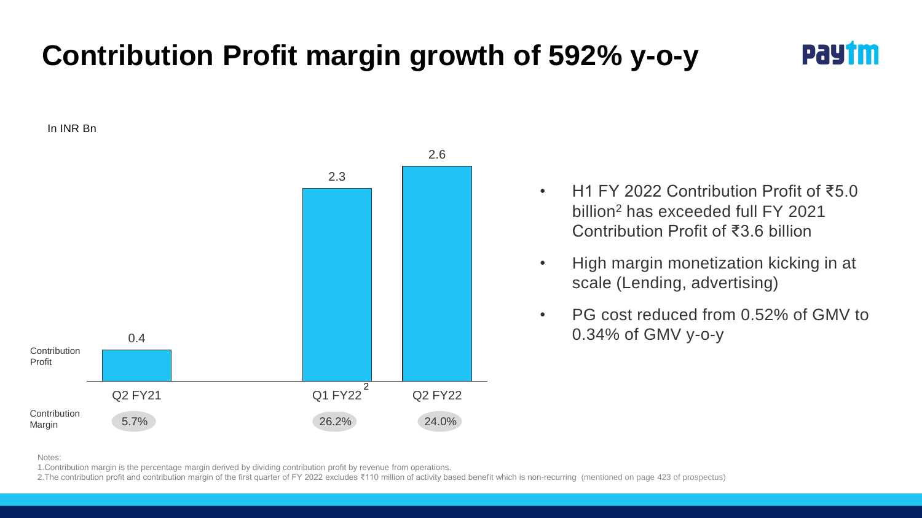## **Contribution Profit margin growth of 592% y-o-y**

PaYtm

In INR Bn



- H1 FY 2022 Contribution Profit of ₹5.0 billion<sup>2</sup> has exceeded full FY 2021 Contribution Profit of ₹3.6 billion
- High margin monetization kicking in at scale (Lending, advertising)
- PG cost reduced from 0.52% of GMV to 0.34% of GMV y-o-y

Notes:

1.Contribution margin is the percentage margin derived by dividing contribution profit by revenue from operations.

2. The contribution profit and contribution margin of the first quarter of FY 2022 excludes ₹110 million of activity based benefit which is non-recurring (mentioned on page 423 of prospectus)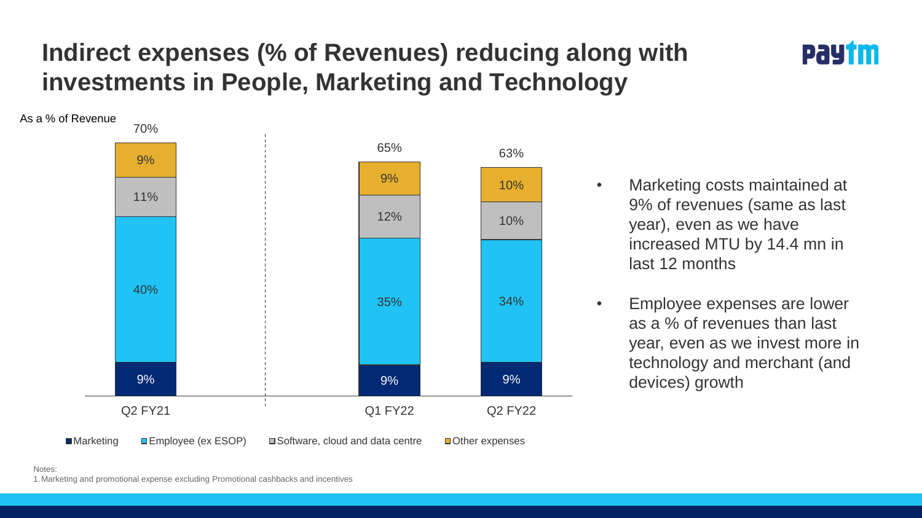### **Indirect expenses (% of Revenues) reducing along with investments in People, Marketing and Technology**

![](_page_11_Figure_1.jpeg)

![](_page_11_Figure_2.jpeg)

- Marketing costs maintained at 9% of revenues (same as last year), even as we have increased MTU by 14.4 mn in last 12 months
- Employee expenses are lower as a % of revenues than last year, even as we invest more in technology and merchant (and devices) growth

Notes:

1.Marketing and promotional expense excluding Promotional cashbacks and incentives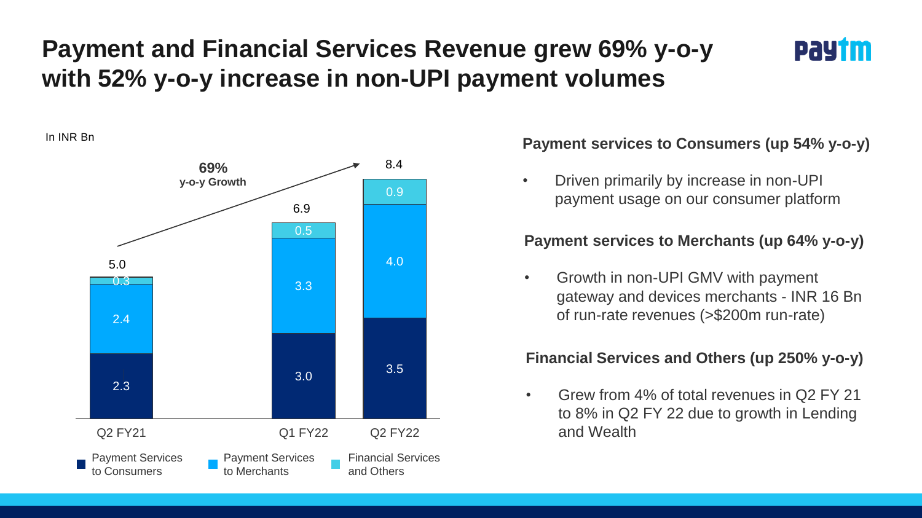### **Payment and Financial Services Revenue grew 69% y-o-y with 52% y-o-y increase in non-UPI payment volumes**

![](_page_12_Picture_1.jpeg)

![](_page_12_Figure_3.jpeg)

#### In INR Bn **Payment services to Consumers (up 54% y-o-y)**

• Driven primarily by increase in non-UPI payment usage on our consumer platform

#### **Payment services to Merchants (up 64% y-o-y)**

• Growth in non-UPI GMV with payment gateway and devices merchants - INR 16 Bn of run-rate revenues (>\$200m run-rate)

#### **Financial Services and Others (up 250% y-o-y)**

• Grew from 4% of total revenues in Q2 FY 21 to 8% in Q2 FY 22 due to growth in Lending and Wealth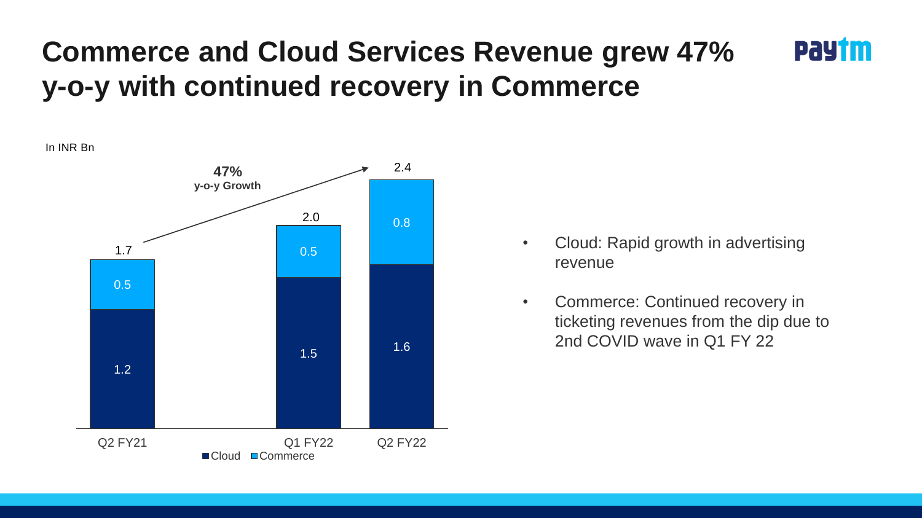### **Commerce and Cloud Services Revenue grew 47% y-o-y with continued recovery in Commerce**

![](_page_13_Figure_1.jpeg)

• Cloud: Rapid growth in advertising revenue

PaYtm

• Commerce: Continued recovery in ticketing revenues from the dip due to 2nd COVID wave in Q1 FY 22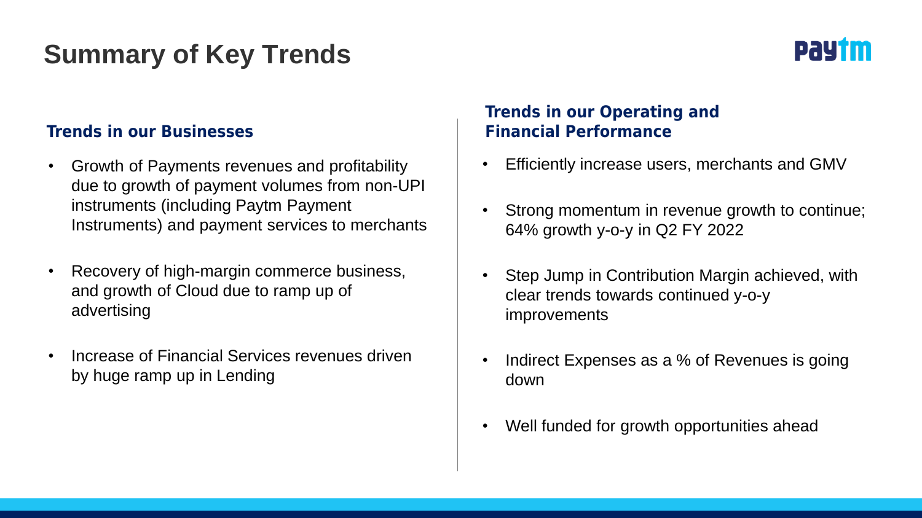### **Summary of Key Trends**

![](_page_14_Picture_1.jpeg)

#### **Trends in our Businesses Trends in our Businesses Accord Performance**

- Growth of Payments revenues and profitability due to growth of payment volumes from non-UPI instruments (including Paytm Payment Instruments) and payment services to merchants
- Recovery of high-margin commerce business, and growth of Cloud due to ramp up of advertising
- Increase of Financial Services revenues driven by huge ramp up in Lending

## **Trends in our Operating and**

- Efficiently increase users, merchants and GMV
- Strong momentum in revenue growth to continue; 64% growth y-o-y in Q2 FY 2022
- Step Jump in Contribution Margin achieved, with clear trends towards continued y-o-y improvements
- Indirect Expenses as a % of Revenues is going down
- Well funded for growth opportunities ahead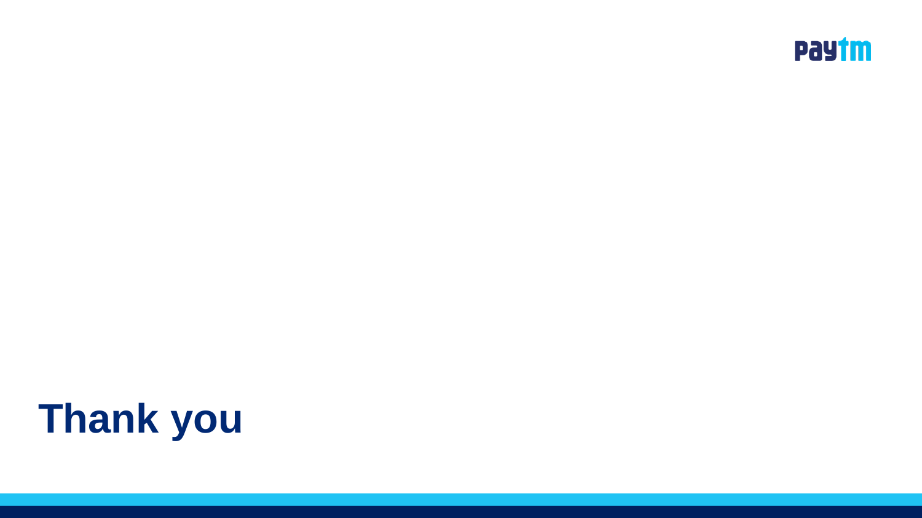![](_page_15_Picture_0.jpeg)

# **Thank you**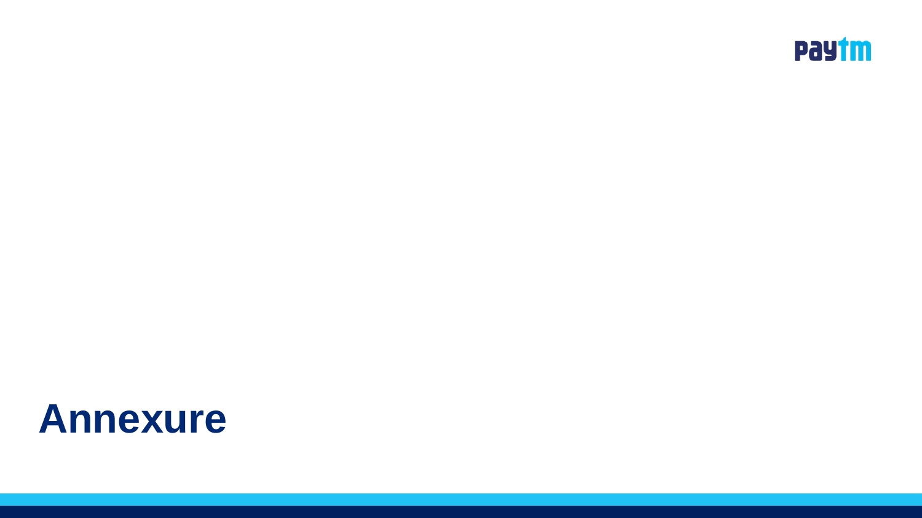![](_page_16_Picture_0.jpeg)

## **Annexure**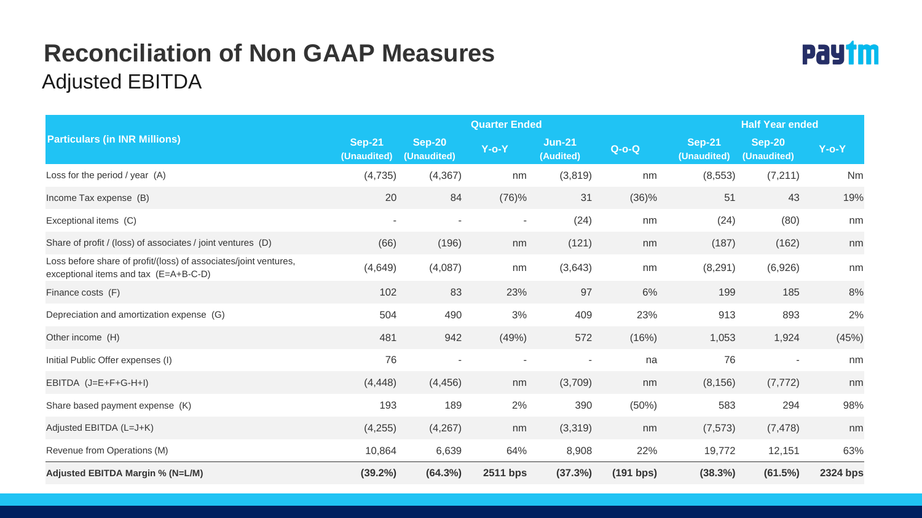### **Reconciliation of Non GAAP Measures** Adjusted EBITDA

![](_page_17_Picture_1.jpeg)

|                                                                                                           | <b>Quarter Ended</b>         |                       |                          |                            | <b>Half Year ended</b> |                              |                              |                 |
|-----------------------------------------------------------------------------------------------------------|------------------------------|-----------------------|--------------------------|----------------------------|------------------------|------------------------------|------------------------------|-----------------|
| <b>Particulars (in INR Millions)</b>                                                                      | <b>Sep-21</b><br>(Unaudited) | Sep-20<br>(Unaudited) | $Y$ -o- $Y$              | <b>Jun-21</b><br>(Audited) | $Q-O-Q$                | <b>Sep-21</b><br>(Unaudited) | <b>Sep-20</b><br>(Unaudited) | $Y$ -o- $Y$     |
| Loss for the period / year (A)                                                                            | (4, 735)                     | (4, 367)              | nm                       | (3,819)                    | nm                     | (8, 553)                     | (7, 211)                     | Nm              |
| Income Tax expense (B)                                                                                    | 20                           | 84                    | (76)%                    | 31                         | $(36)\%$               | 51                           | 43                           | 19%             |
| Exceptional items (C)                                                                                     | ٠                            |                       | $\blacksquare$           | (24)                       | nm                     | (24)                         | (80)                         | nm              |
| Share of profit / (loss) of associates / joint ventures (D)                                               | (66)                         | (196)                 | nm                       | (121)                      | nm                     | (187)                        | (162)                        | nm              |
| Loss before share of profit/(loss) of associates/joint ventures,<br>exceptional items and tax (E=A+B-C-D) | (4,649)                      | (4,087)               | nm                       | (3,643)                    | nm                     | (8, 291)                     | (6,926)                      | nm              |
| Finance costs (F)                                                                                         | 102                          | 83                    | 23%                      | 97                         | 6%                     | 199                          | 185                          | 8%              |
| Depreciation and amortization expense (G)                                                                 | 504                          | 490                   | 3%                       | 409                        | 23%                    | 913                          | 893                          | 2%              |
| Other income (H)                                                                                          | 481                          | 942                   | (49%)                    | 572                        | (16%)                  | 1,053                        | 1,924                        | (45%)           |
| Initial Public Offer expenses (I)                                                                         | 76                           |                       | $\overline{\phantom{a}}$ |                            | na                     | 76                           | $\sim$                       | nm              |
| EBITDA $(J=E+F+G-H+I)$                                                                                    | (4, 448)                     | (4, 456)              | nm                       | (3,709)                    | nm                     | (8, 156)                     | (7, 772)                     | nm              |
| Share based payment expense (K)                                                                           | 193                          | 189                   | 2%                       | 390                        | (50%)                  | 583                          | 294                          | 98%             |
| Adjusted EBITDA (L=J+K)                                                                                   | (4,255)                      | (4,267)               | nm                       | (3,319)                    | nm                     | (7, 573)                     | (7, 478)                     | nm              |
| Revenue from Operations (M)                                                                               | 10,864                       | 6,639                 | 64%                      | 8,908                      | 22%                    | 19,772                       | 12,151                       | 63%             |
| Adjusted EBITDA Margin % (N=L/M)                                                                          | $(39.2\%)$                   | (64.3%)               | <b>2511 bps</b>          | (37.3%)                    | (191 bps)              | (38.3%)                      | (61.5%)                      | <b>2324 bps</b> |